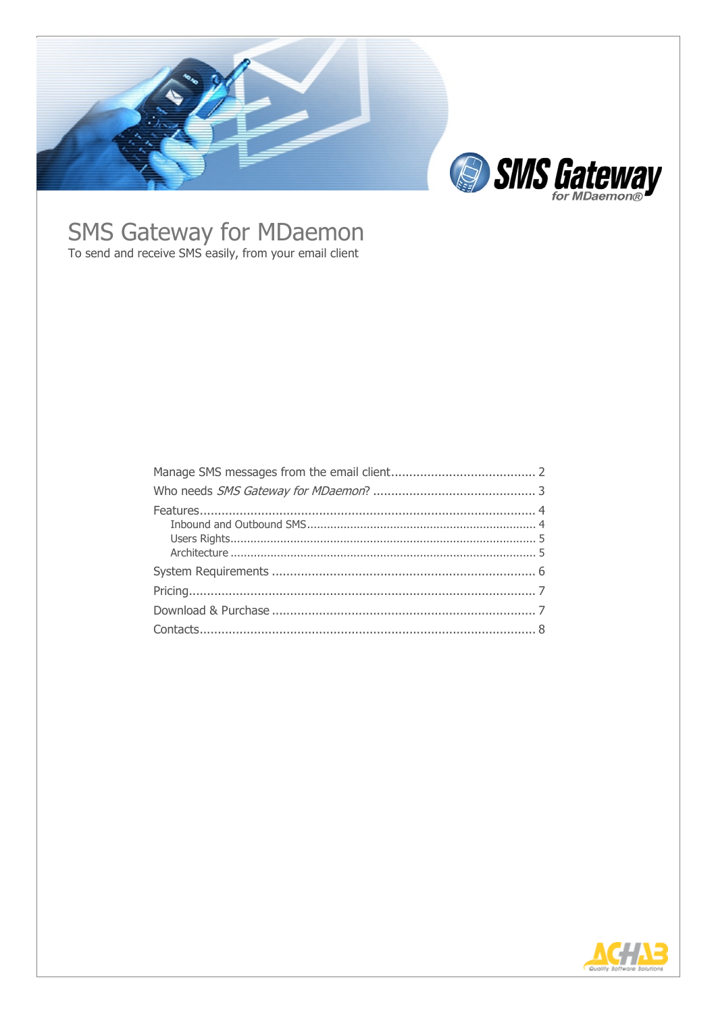

# **SMS Gateway for MDaemon**<br>To send and receive SMS easily, from your email client

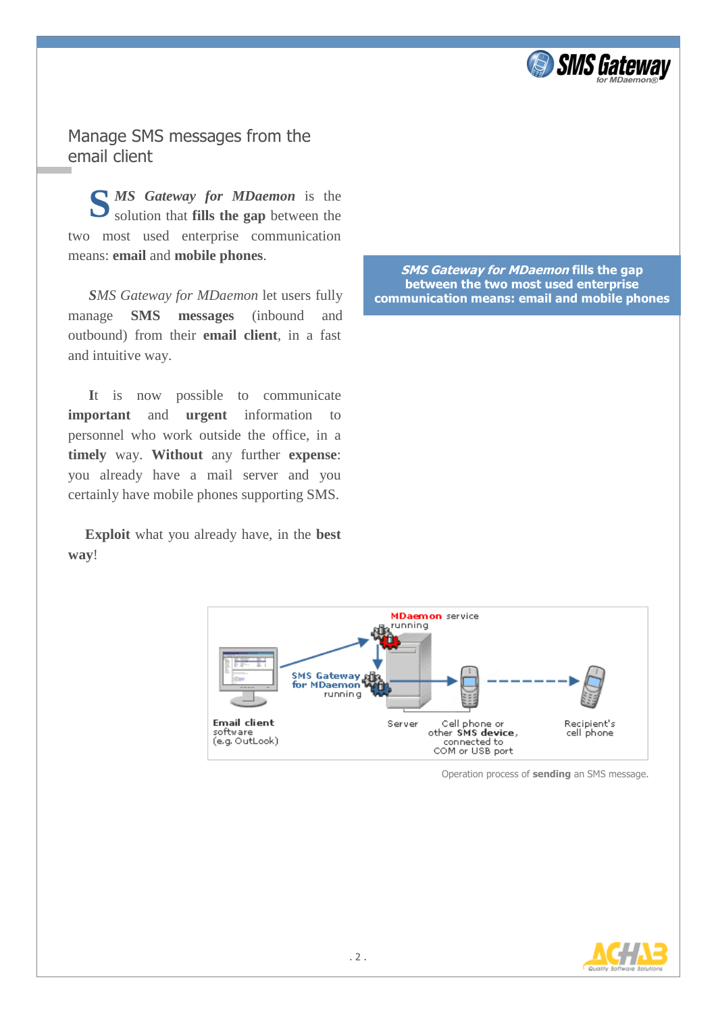

Manage SMS messages from the email client

**S** *MS Gateway for MDaemon* is the solution that fills the gap between the solution that **fills the gap** between the two most used enterprise communication means: **email** and **mobile phones**.

*SMS Gateway for MDaemon* let users fully manage **SMS messages** (inbound and outbound) from their **email client**, in a fast and intuitive way.

**I**t is now possible to communicate **important** and **urgent** information to personnel who work outside the office, in a **timely** way. **Without** any further **expense**: you already have a mail server and you certainly have mobile phones supporting SMS.

**Exploit** what you already have, in the **best way**!

**SMS Gateway for MDaemon fills the gap between the two most used enterprise communication means: email and mobile phones**



Operation process of **sending** an SMS message.

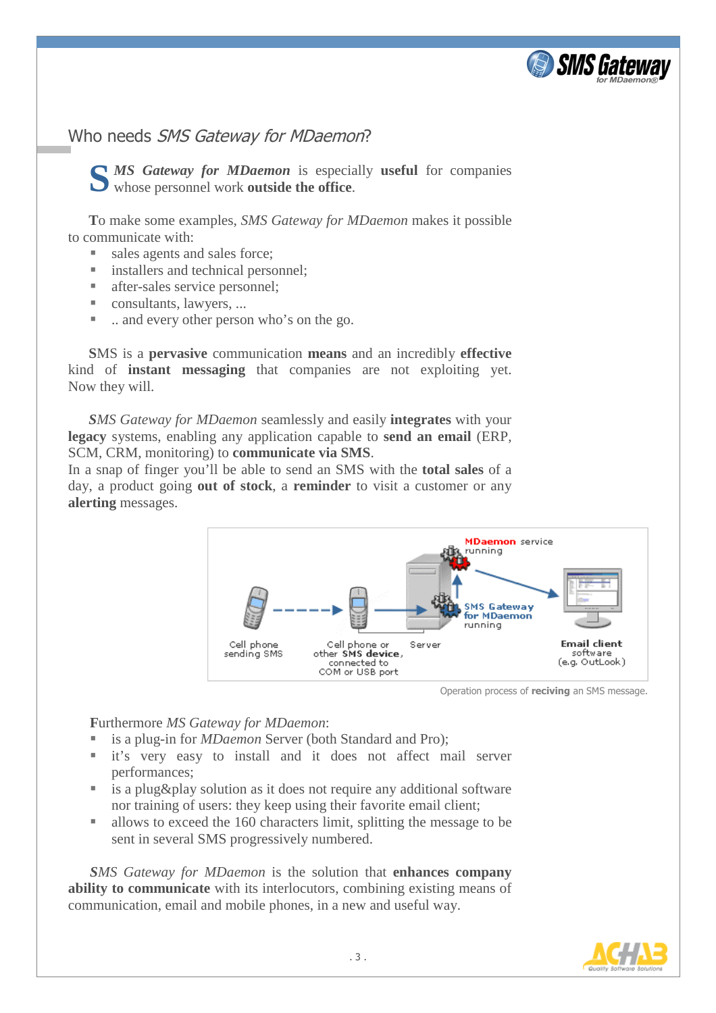

# Who needs SMS Gateway for MDaemon?

*MS Gateway for MDaemon* is especially **useful** for companies **S** whose personnel work **outside the office**.

**T**o make some examples, *SMS Gateway for MDaemon* makes it possible to communicate with:

- sales agents and sales force;
- installers and technical personnel;
- after-sales service personnel:
- consultants, lawyers, ...
- ... and every other person who's on the go.

**S**MS is a **pervasive** communication **means** and an incredibly **effective** kind of **instant messaging** that companies are not exploiting yet. Now they will.

*SMS Gateway for MDaemon* seamlessly and easily **integrates** with your **legacy** systems, enabling any application capable to **send an email** (ERP, SCM, CRM, monitoring) to **communicate via SMS**.

In a snap of finger you'll be able to send an SMS with the **total sales** of a day, a product going **out of stock**, a **reminder** to visit a customer or any **alerting** messages.



Operation process of **reciving** an SMS message.

# **F**urthermore *MS Gateway for MDaemon*:

- is a plug-in for *MDaemon* Server (both Standard and Pro);
- it's very easy to install and it does not affect mail server performances;
- is a plug&play solution as it does not require any additional software nor training of users: they keep using their favorite email client;
- allows to exceed the 160 characters limit, splitting the message to be sent in several SMS progressively numbered.

*SMS Gateway for MDaemon* is the solution that **enhances company ability to communicate** with its interlocutors, combining existing means of communication, email and mobile phones, in a new and useful way.

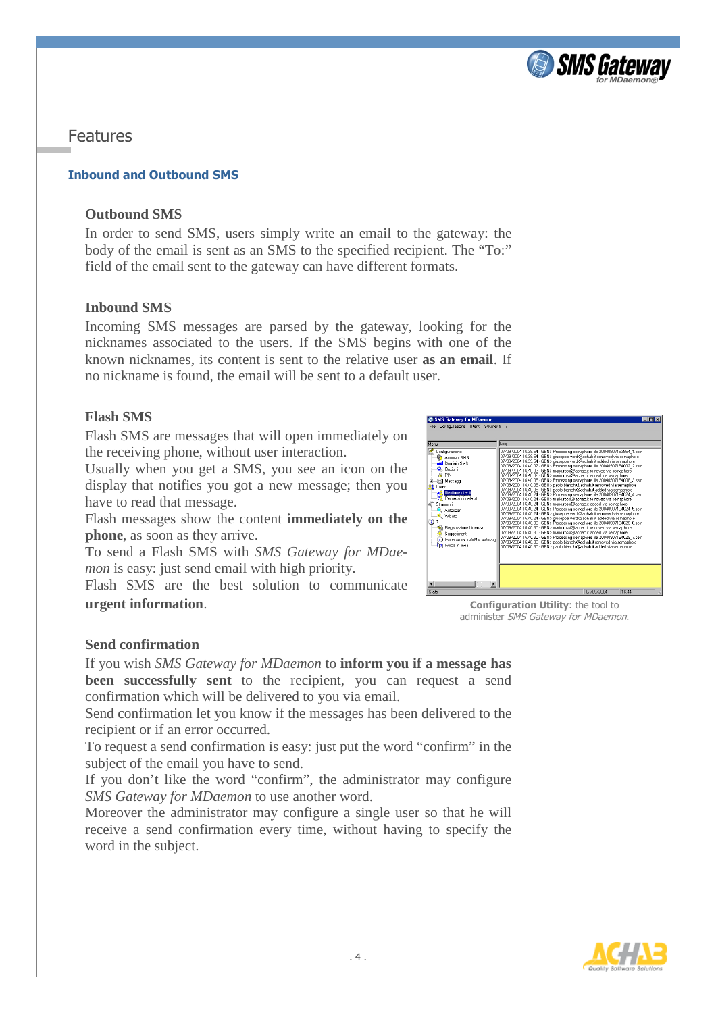

Features

# **Inbound and Outbound SMS**

# **Outbound SMS**

In order to send SMS, users simply write an email to the gateway: the body of the email is sent as an SMS to the specified recipient. The "To:" field of the email sent to the gateway can have different formats.

# **Inbound SMS**

Incoming SMS messages are parsed by the gateway, looking for the nicknames associated to the users. If the SMS begins with one of the known nicknames, its content is sent to the relative user **as an email**. If no nickname is found, the email will be sent to a default user.

# **Flash SMS**

Flash SMS are messages that will open immediately on the receiving phone, without user interaction.

Usually when you get a SMS, you see an icon on the display that notifies you got a new message; then you have to read that message.

Flash messages show the content **immediately on the phone**, as soon as they arrive.

To send a Flash SMS with *SMS Gateway for MDaemon* is easy: just send email with high priority.

Flash SMS are the best solution to communicate **urgent information**.



**Configuration Utility**: the tool to administer SMS Gateway for MDaemon.

# **Send confirmation**

If you wish *SMS Gateway for MDaemon* to **inform you if a message has been successfully sent** to the recipient, you can request a send confirmation which will be delivered to you via email.

Send confirmation let you know if the messages has been delivered to the recipient or if an error occurred.

To request a send confirmation is easy: just put the word "confirm" in the subject of the email you have to send.

If you don't like the word "confirm", the administrator may configure *SMS Gateway for MDaemon* to use another word.

Moreover the administrator may configure a single user so that he will receive a send confirmation every time, without having to specify the word in the subject.

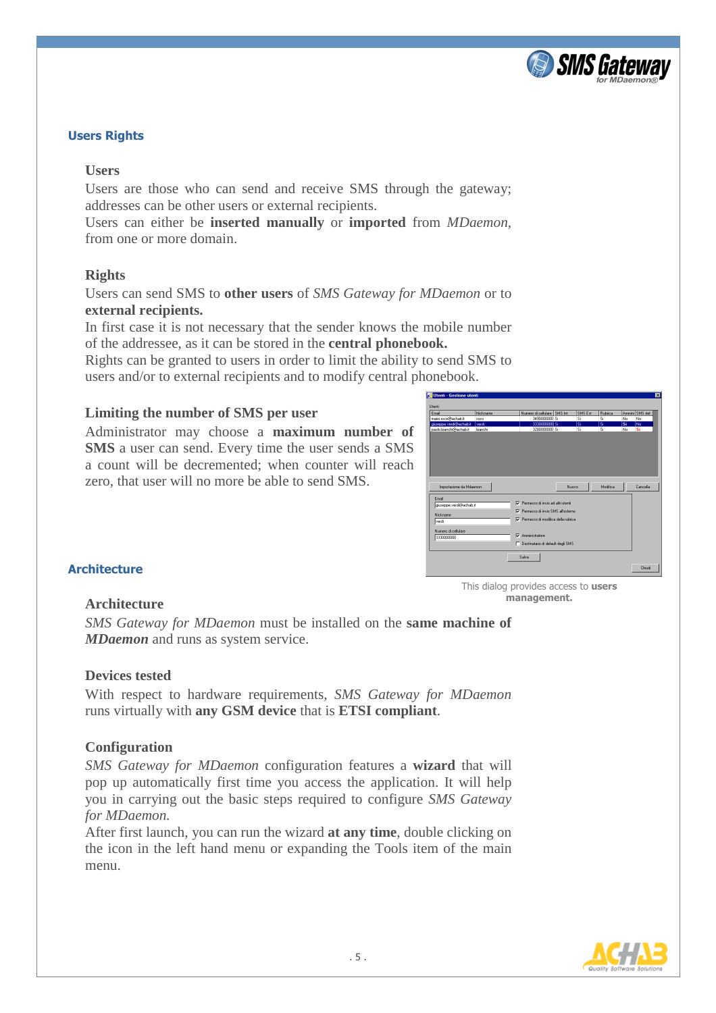

## **Users Rights**

#### **Users**

Users are those who can send and receive SMS through the gateway; addresses can be other users or external recipients.

Users can either be **inserted manually** or **imported** from *MDaemon,* from one or more domain.

#### **Rights**

Users can send SMS to **other users** of *SMS Gateway for MDaemon* or to **external recipients.**

In first case it is not necessary that the sender knows the mobile number of the addressee, as it can be stored in the **central phonebook.**

Rights can be granted to users in order to limit the ability to send SMS to users and/or to external recipients and to modify central phonebook.

## **Limiting the number of SMS per user**

Administrator may choose a **maximum number of SMS** a user can send. Every time the user sends a SMS a count will be decremented; when counter will reach zero, that user will no more be able to send SMS.



**management.**

#### **Architecture**

#### **Architecture**

*SMS Gateway for MDaemon* must be installed on the **same machine of**  *MDaemon* and runs as system service.

#### **Devices tested**

With respect to hardware requirements, *SMS Gateway for MDaemon* runs virtually with **any GSM device** that is **ETSI compliant**.

## **Configuration**

*SMS Gateway for MDaemon* configuration features a **wizard** that will pop up automatically first time you access the application. It will help you in carrying out the basic steps required to configure *SMS Gateway for MDaemon.* 

After first launch, you can run the wizard **at any time**, double clicking on the icon in the left hand menu or expanding the Tools item of the main menu.

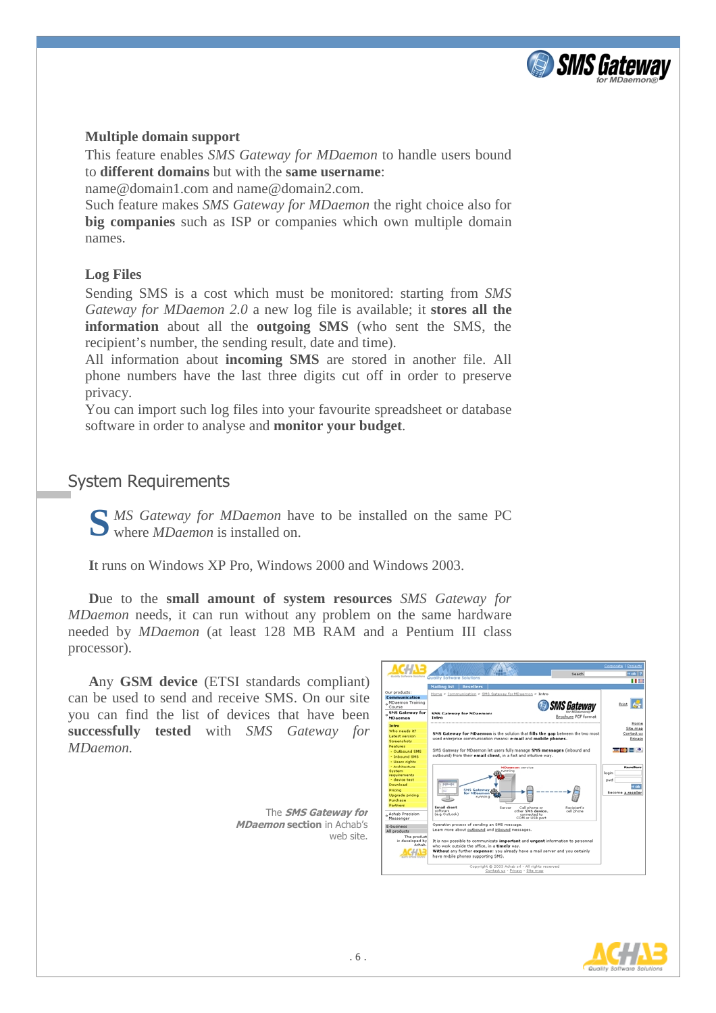

## **Multiple domain support**

This feature enables *SMS Gateway for MDaemon* to handle users bound to **different domains** but with the **same username**:

name@domain1.com and name@domain2.com.

Such feature makes *SMS Gateway for MDaemon* the right choice also for **big companies** such as ISP or companies which own multiple domain names.

## **Log Files**

Sending SMS is a cost which must be monitored: starting from *SMS Gateway for MDaemon 2.0* a new log file is available; it **stores all the information** about all the **outgoing SMS** (who sent the SMS, the recipient's number, the sending result, date and time).

All information about **incoming SMS** are stored in another file. All phone numbers have the last three digits cut off in order to preserve privacy.

You can import such log files into your favourite spreadsheet or database software in order to analyse and **monitor your budget**.

# System Requirements

**S** *MS Gateway for MDaemon* have to be installed on the same PC where *MDaemon* is installed on. where *MDaemon* is installed on.

**I**t runs on Windows XP Pro, Windows 2000 and Windows 2003.

**D**ue to the **small amount of system resources** *SMS Gateway for MDaemon* needs, it can run without any problem on the same hardware needed by *MDaemon* (at least 128 MB RAM and a Pentium III class processor).

**A**ny **GSM device** (ETSI standards compliant) can be used to send and receive SMS. On our site you can find the list of devices that have been **successfully tested** with *SMS Gateway for MDaemon.*

> The **SMS Gateway for MDaemon section** in Achab's web site.



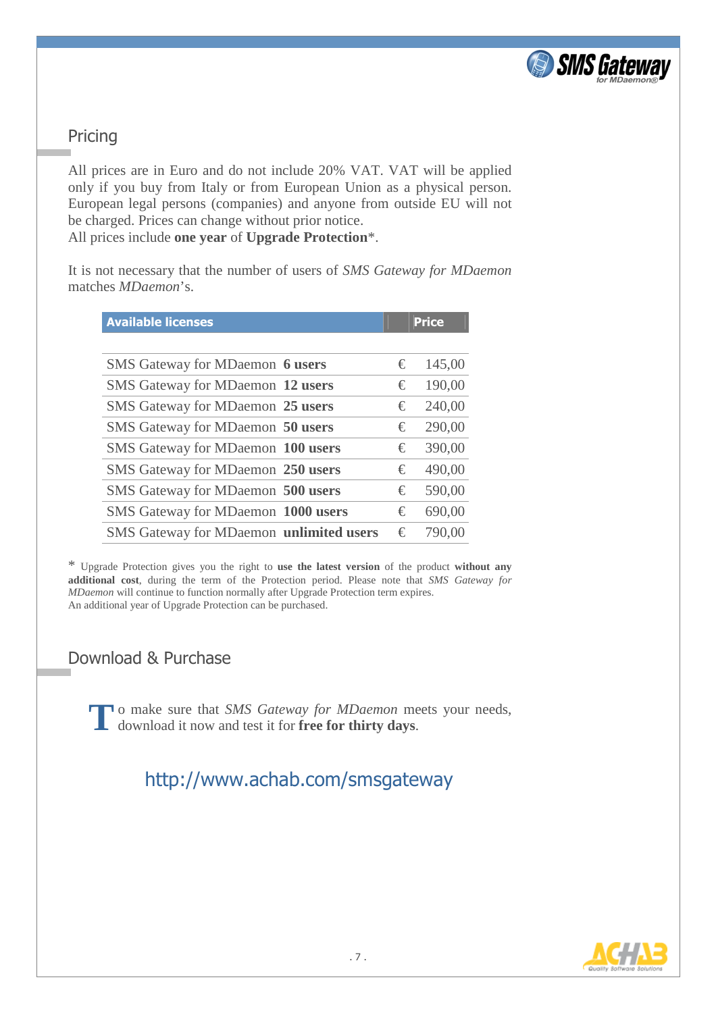

# Pricing

All prices are in Euro and do not include 20% VAT. VAT will be applied only if you buy from Italy or from European Union as a physical person. European legal persons (companies) and anyone from outside EU will not be charged. Prices can change without prior notice. All prices include **one year** of **Upgrade Protection**\*.

It is not necessary that the number of users of *SMS Gateway for MDaemon* matches *MDaemon*'s.

| <b>Available licenses</b>               | <b>Price</b> |        |
|-----------------------------------------|--------------|--------|
|                                         |              |        |
| SMS Gateway for MDaemon 6 users         | €            | 145,00 |
| SMS Gateway for MDaemon 12 users        | €            | 190,00 |
| SMS Gateway for MDaemon 25 users        | €            | 240,00 |
| SMS Gateway for MDaemon 50 users        | €            | 290,00 |
| SMS Gateway for MDaemon 100 users       | €            | 390,00 |
| SMS Gateway for MDaemon 250 users       | €            | 490,00 |
| SMS Gateway for MDaemon 500 users       | €            | 590,00 |
| SMS Gateway for MDaemon 1000 users      | €            | 690,00 |
| SMS Gateway for MDaemon unlimited users | €            | 790,00 |

\* Upgrade Protection gives you the right to **use the latest version** of the product **without any additional cost**, during the term of the Protection period. Please note that *SMS Gateway for MDaemon* will continue to function normally after Upgrade Protection term expires. An additional year of Upgrade Protection can be purchased.

# Download & Purchase

o make sure that *SMS Gateway for MDaemon* meets your needs, To make sure that *SMS Gateway for MDaemon* means download it now and test it for **free for thirty days**.

# http://www.achab.com/smsgateway